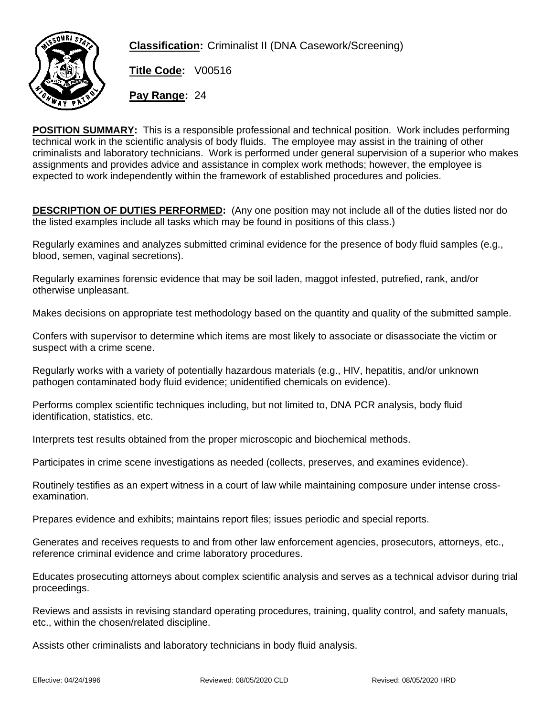

**Classification:** Criminalist II (DNA Casework/Screening)

**Title Code:** V00516

**Pay Range:** 24

**POSITION SUMMARY:** This is a responsible professional and technical position. Work includes performing technical work in the scientific analysis of body fluids. The employee may assist in the training of other criminalists and laboratory technicians. Work is performed under general supervision of a superior who makes assignments and provides advice and assistance in complex work methods; however, the employee is expected to work independently within the framework of established procedures and policies.

**DESCRIPTION OF DUTIES PERFORMED:** (Any one position may not include all of the duties listed nor do the listed examples include all tasks which may be found in positions of this class.)

Regularly examines and analyzes submitted criminal evidence for the presence of body fluid samples (e.g., blood, semen, vaginal secretions).

Regularly examines forensic evidence that may be soil laden, maggot infested, putrefied, rank, and/or otherwise unpleasant.

Makes decisions on appropriate test methodology based on the quantity and quality of the submitted sample.

Confers with supervisor to determine which items are most likely to associate or disassociate the victim or suspect with a crime scene.

Regularly works with a variety of potentially hazardous materials (e.g., HIV, hepatitis, and/or unknown pathogen contaminated body fluid evidence; unidentified chemicals on evidence).

Performs complex scientific techniques including, but not limited to, DNA PCR analysis, body fluid identification, statistics, etc.

Interprets test results obtained from the proper microscopic and biochemical methods.

Participates in crime scene investigations as needed (collects, preserves, and examines evidence).

Routinely testifies as an expert witness in a court of law while maintaining composure under intense crossexamination.

Prepares evidence and exhibits; maintains report files; issues periodic and special reports.

Generates and receives requests to and from other law enforcement agencies, prosecutors, attorneys, etc., reference criminal evidence and crime laboratory procedures.

Educates prosecuting attorneys about complex scientific analysis and serves as a technical advisor during trial proceedings.

Reviews and assists in revising standard operating procedures, training, quality control, and safety manuals, etc., within the chosen/related discipline.

Assists other criminalists and laboratory technicians in body fluid analysis.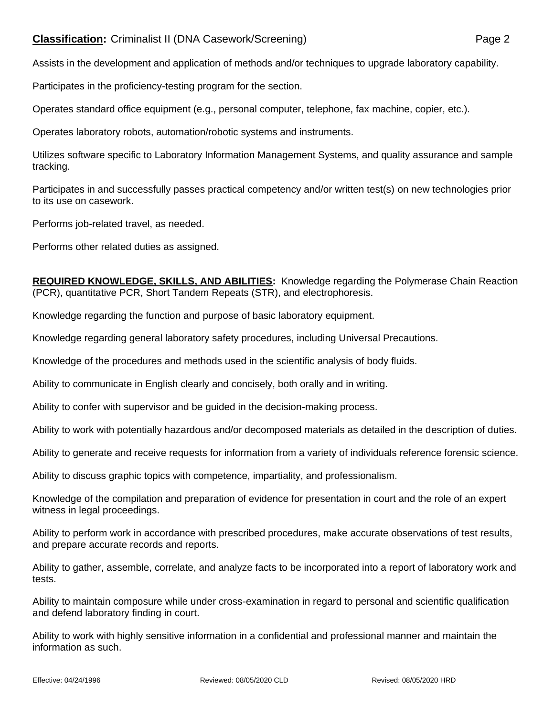## **Classification:** Criminalist II (DNA Casework/Screening) Page 2

Assists in the development and application of methods and/or techniques to upgrade laboratory capability.

Participates in the proficiency-testing program for the section.

Operates standard office equipment (e.g., personal computer, telephone, fax machine, copier, etc.).

Operates laboratory robots, automation/robotic systems and instruments.

Utilizes software specific to Laboratory Information Management Systems, and quality assurance and sample tracking.

Participates in and successfully passes practical competency and/or written test(s) on new technologies prior to its use on casework.

Performs job-related travel, as needed.

Performs other related duties as assigned.

**REQUIRED KNOWLEDGE, SKILLS, AND ABILITIES:** Knowledge regarding the Polymerase Chain Reaction (PCR), quantitative PCR, Short Tandem Repeats (STR), and electrophoresis.

Knowledge regarding the function and purpose of basic laboratory equipment.

Knowledge regarding general laboratory safety procedures, including Universal Precautions.

Knowledge of the procedures and methods used in the scientific analysis of body fluids.

Ability to communicate in English clearly and concisely, both orally and in writing.

Ability to confer with supervisor and be guided in the decision-making process.

Ability to work with potentially hazardous and/or decomposed materials as detailed in the description of duties.

Ability to generate and receive requests for information from a variety of individuals reference forensic science.

Ability to discuss graphic topics with competence, impartiality, and professionalism.

Knowledge of the compilation and preparation of evidence for presentation in court and the role of an expert witness in legal proceedings.

Ability to perform work in accordance with prescribed procedures, make accurate observations of test results, and prepare accurate records and reports.

Ability to gather, assemble, correlate, and analyze facts to be incorporated into a report of laboratory work and tests.

Ability to maintain composure while under cross-examination in regard to personal and scientific qualification and defend laboratory finding in court.

Ability to work with highly sensitive information in a confidential and professional manner and maintain the information as such.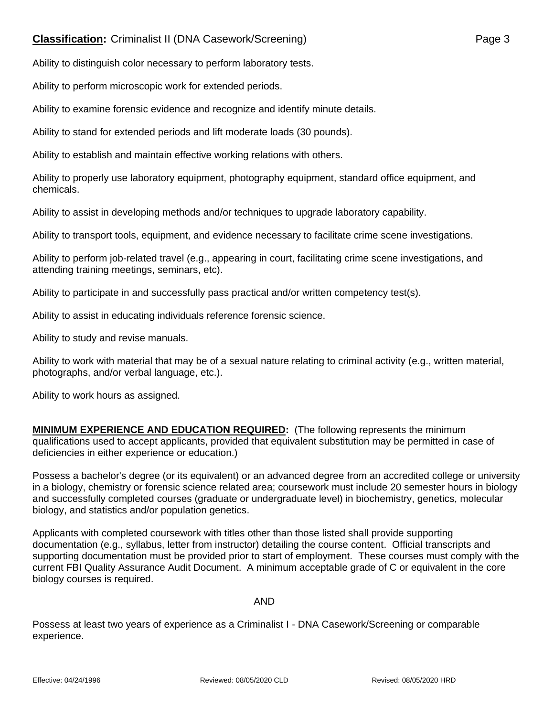## **Classification:** Criminalist II (DNA Casework/Screening) Page 3

Ability to distinguish color necessary to perform laboratory tests.

Ability to perform microscopic work for extended periods.

Ability to examine forensic evidence and recognize and identify minute details.

Ability to stand for extended periods and lift moderate loads (30 pounds).

Ability to establish and maintain effective working relations with others.

Ability to properly use laboratory equipment, photography equipment, standard office equipment, and chemicals.

Ability to assist in developing methods and/or techniques to upgrade laboratory capability.

Ability to transport tools, equipment, and evidence necessary to facilitate crime scene investigations.

Ability to perform job-related travel (e.g., appearing in court, facilitating crime scene investigations, and attending training meetings, seminars, etc).

Ability to participate in and successfully pass practical and/or written competency test(s).

Ability to assist in educating individuals reference forensic science.

Ability to study and revise manuals.

Ability to work with material that may be of a sexual nature relating to criminal activity (e.g., written material, photographs, and/or verbal language, etc.).

Ability to work hours as assigned.

**MINIMUM EXPERIENCE AND EDUCATION REQUIRED:** (The following represents the minimum qualifications used to accept applicants, provided that equivalent substitution may be permitted in case of deficiencies in either experience or education.)

Possess a bachelor's degree (or its equivalent) or an advanced degree from an accredited college or university in a biology, chemistry or forensic science related area; coursework must include 20 semester hours in biology and successfully completed courses (graduate or undergraduate level) in biochemistry, genetics, molecular biology, and statistics and/or population genetics.

Applicants with completed coursework with titles other than those listed shall provide supporting documentation (e.g., syllabus, letter from instructor) detailing the course content. Official transcripts and supporting documentation must be provided prior to start of employment. These courses must comply with the current FBI Quality Assurance Audit Document. A minimum acceptable grade of C or equivalent in the core biology courses is required.

## AND

Possess at least two years of experience as a Criminalist I - DNA Casework/Screening or comparable experience.